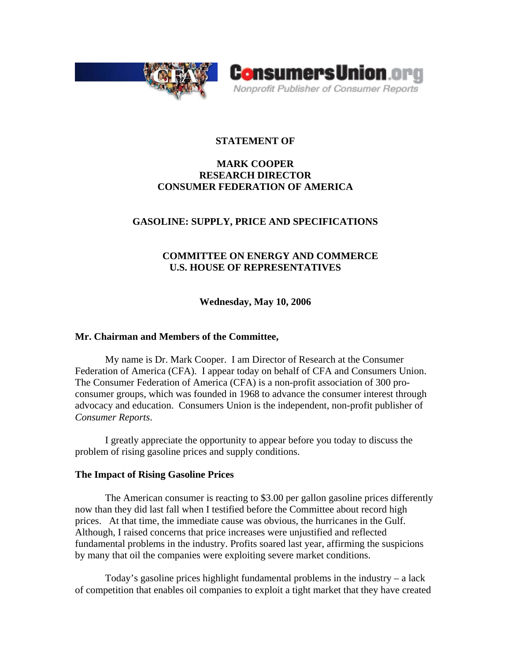



## **STATEMENT OF**

## **MARK COOPER RESEARCH DIRECTOR CONSUMER FEDERATION OF AMERICA**

## **GASOLINE: SUPPLY, PRICE AND SPECIFICATIONS**

# **COMMITTEE ON ENERGY AND COMMERCE U.S. HOUSE OF REPRESENTATIVES**

**Wednesday, May 10, 2006** 

## **Mr. Chairman and Members of the Committee,**

My name is Dr. Mark Cooper. I am Director of Research at the Consumer Federation of America (CFA). I appear today on behalf of CFA and Consumers Union. The Consumer Federation of America (CFA) is a non-profit association of 300 proconsumer groups, which was founded in 1968 to advance the consumer interest through advocacy and education. Consumers Union is the independent, non-profit publisher of *Consumer Reports*.

I greatly appreciate the opportunity to appear before you today to discuss the problem of rising gasoline prices and supply conditions.

### **The Impact of Rising Gasoline Prices**

The American consumer is reacting to \$3.00 per gallon gasoline prices differently now than they did last fall when I testified before the Committee about record high prices. At that time, the immediate cause was obvious, the hurricanes in the Gulf. Although, I raised concerns that price increases were unjustified and reflected fundamental problems in the industry. Profits soared last year, affirming the suspicions by many that oil the companies were exploiting severe market conditions.

Today's gasoline prices highlight fundamental problems in the industry – a lack of competition that enables oil companies to exploit a tight market that they have created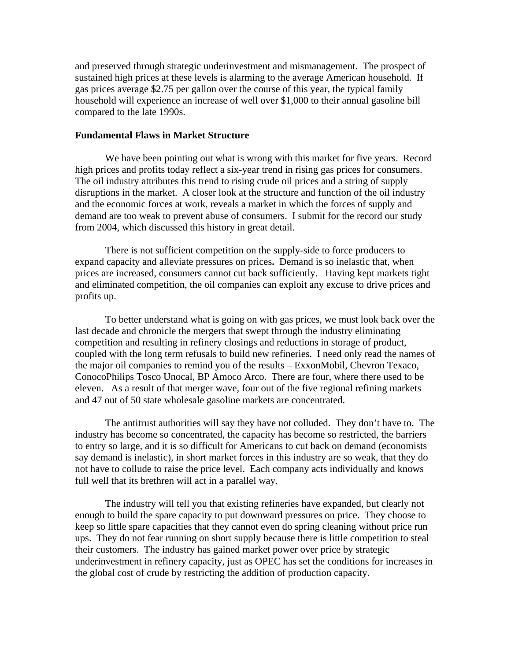and preserved through strategic underinvestment and mismanagement. The prospect of sustained high prices at these levels is alarming to the average American household. If gas prices average \$2.75 per gallon over the course of this year, the typical family household will experience an increase of well over \$1,000 to their annual gasoline bill compared to the late 1990s.

### **Fundamental Flaws in Market Structure**

We have been pointing out what is wrong with this market for five years. Record high prices and profits today reflect a six-year trend in rising gas prices for consumers. The oil industry attributes this trend to rising crude oil prices and a string of supply disruptions in the market. A closer look at the structure and function of the oil industry and the economic forces at work, reveals a market in which the forces of supply and demand are too weak to prevent abuse of consumers. I submit for the record our study from 2004, which discussed this history in great detail.

There is not sufficient competition on the supply-side to force producers to expand capacity and alleviate pressures on prices**.** Demand is so inelastic that, when prices are increased, consumers cannot cut back sufficiently. Having kept markets tight and eliminated competition, the oil companies can exploit any excuse to drive prices and profits up.

To better understand what is going on with gas prices, we must look back over the last decade and chronicle the mergers that swept through the industry eliminating competition and resulting in refinery closings and reductions in storage of product, coupled with the long term refusals to build new refineries. I need only read the names of the major oil companies to remind you of the results – ExxonMobil, Chevron Texaco, ConocoPhilips Tosco Unocal, BP Amoco Arco. There are four, where there used to be eleven. As a result of that merger wave, four out of the five regional refining markets and 47 out of 50 state wholesale gasoline markets are concentrated.

The antitrust authorities will say they have not colluded. They don't have to. The industry has become so concentrated, the capacity has become so restricted, the barriers to entry so large, and it is so difficult for Americans to cut back on demand (economists say demand is inelastic), in short market forces in this industry are so weak, that they do not have to collude to raise the price level. Each company acts individually and knows full well that its brethren will act in a parallel way.

The industry will tell you that existing refineries have expanded, but clearly not enough to build the spare capacity to put downward pressures on price. They choose to keep so little spare capacities that they cannot even do spring cleaning without price run ups. They do not fear running on short supply because there is little competition to steal their customers. The industry has gained market power over price by strategic underinvestment in refinery capacity, just as OPEC has set the conditions for increases in the global cost of crude by restricting the addition of production capacity.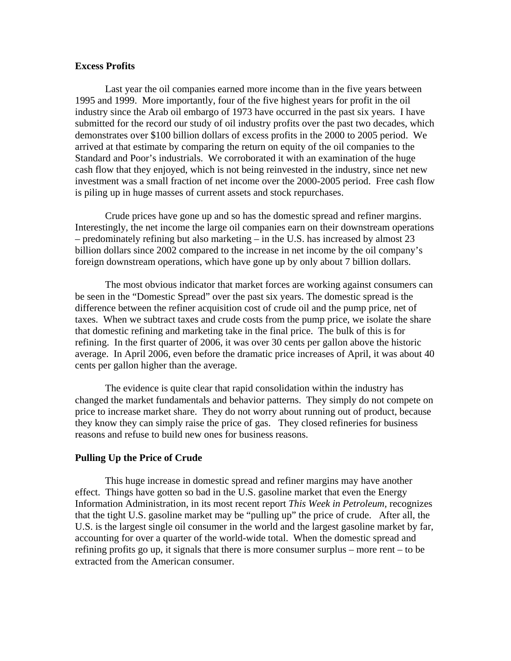### **Excess Profits**

Last year the oil companies earned more income than in the five years between 1995 and 1999. More importantly, four of the five highest years for profit in the oil industry since the Arab oil embargo of 1973 have occurred in the past six years. I have submitted for the record our study of oil industry profits over the past two decades, which demonstrates over \$100 billion dollars of excess profits in the 2000 to 2005 period. We arrived at that estimate by comparing the return on equity of the oil companies to the Standard and Poor's industrials. We corroborated it with an examination of the huge cash flow that they enjoyed, which is not being reinvested in the industry, since net new investment was a small fraction of net income over the 2000-2005 period. Free cash flow is piling up in huge masses of current assets and stock repurchases.

Crude prices have gone up and so has the domestic spread and refiner margins. Interestingly, the net income the large oil companies earn on their downstream operations – predominately refining but also marketing – in the U.S. has increased by almost 23 billion dollars since 2002 compared to the increase in net income by the oil company's foreign downstream operations, which have gone up by only about 7 billion dollars.

The most obvious indicator that market forces are working against consumers can be seen in the "Domestic Spread" over the past six years. The domestic spread is the difference between the refiner acquisition cost of crude oil and the pump price, net of taxes. When we subtract taxes and crude costs from the pump price, we isolate the share that domestic refining and marketing take in the final price. The bulk of this is for refining. In the first quarter of 2006, it was over 30 cents per gallon above the historic average. In April 2006, even before the dramatic price increases of April, it was about 40 cents per gallon higher than the average.

The evidence is quite clear that rapid consolidation within the industry has changed the market fundamentals and behavior patterns. They simply do not compete on price to increase market share. They do not worry about running out of product, because they know they can simply raise the price of gas. They closed refineries for business reasons and refuse to build new ones for business reasons.

### **Pulling Up the Price of Crude**

This huge increase in domestic spread and refiner margins may have another effect. Things have gotten so bad in the U.S. gasoline market that even the Energy Information Administration, in its most recent report *This Week in Petroleum,* recognizes that the tight U.S. gasoline market may be "pulling up" the price of crude. After all, the U.S. is the largest single oil consumer in the world and the largest gasoline market by far, accounting for over a quarter of the world-wide total. When the domestic spread and refining profits go up, it signals that there is more consumer surplus – more rent – to be extracted from the American consumer.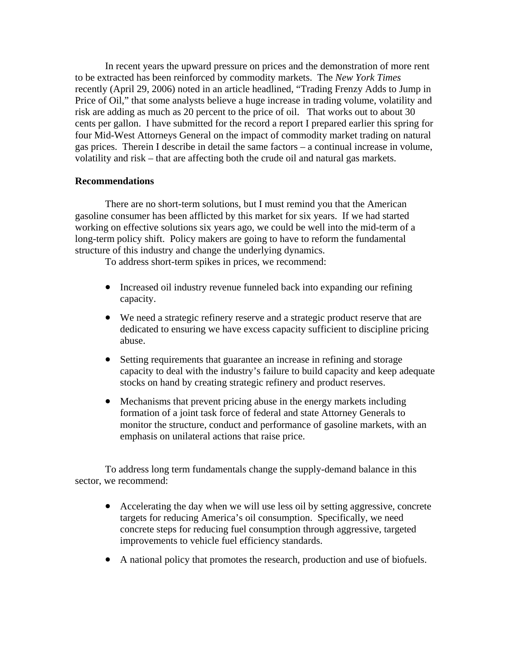In recent years the upward pressure on prices and the demonstration of more rent to be extracted has been reinforced by commodity markets. The *New York Times*  recently (April 29, 2006) noted in an article headlined, "Trading Frenzy Adds to Jump in Price of Oil," that some analysts believe a huge increase in trading volume, volatility and risk are adding as much as 20 percent to the price of oil. That works out to about 30 cents per gallon. I have submitted for the record a report I prepared earlier this spring for four Mid-West Attorneys General on the impact of commodity market trading on natural gas prices. Therein I describe in detail the same factors – a continual increase in volume, volatility and risk – that are affecting both the crude oil and natural gas markets.

### **Recommendations**

There are no short-term solutions, but I must remind you that the American gasoline consumer has been afflicted by this market for six years. If we had started working on effective solutions six years ago, we could be well into the mid-term of a long-term policy shift. Policy makers are going to have to reform the fundamental structure of this industry and change the underlying dynamics.

To address short-term spikes in prices, we recommend:

- Increased oil industry revenue funneled back into expanding our refining capacity.
- We need a strategic refinery reserve and a strategic product reserve that are dedicated to ensuring we have excess capacity sufficient to discipline pricing abuse.
- Setting requirements that guarantee an increase in refining and storage capacity to deal with the industry's failure to build capacity and keep adequate stocks on hand by creating strategic refinery and product reserves.
- Mechanisms that prevent pricing abuse in the energy markets including formation of a joint task force of federal and state Attorney Generals to monitor the structure, conduct and performance of gasoline markets, with an emphasis on unilateral actions that raise price.

To address long term fundamentals change the supply-demand balance in this sector, we recommend:

- Accelerating the day when we will use less oil by setting aggressive, concrete targets for reducing America's oil consumption. Specifically, we need concrete steps for reducing fuel consumption through aggressive, targeted improvements to vehicle fuel efficiency standards.
- A national policy that promotes the research, production and use of biofuels.